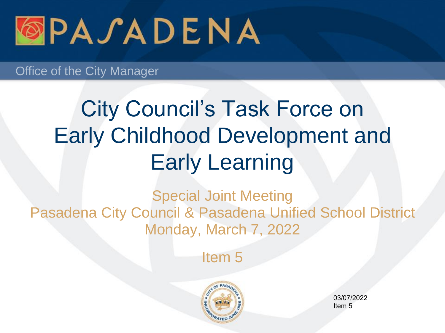

# City Council's Task Force on Early Childhood Development and Early Learning

Special Joint Meeting Pasadena City Council & Pasadena Unified School District Monday, March 7, 2022

Item 5



03/07/2022 Item 5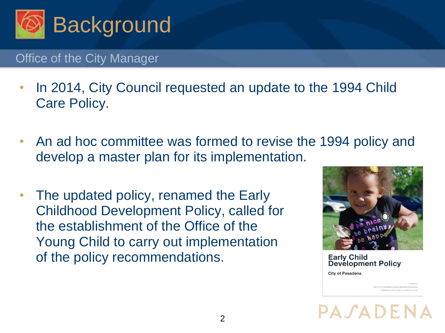

- In 2014, City Council requested an update to the 1994 Child Care Policy.
- An ad hoc committee was formed to revise the 1994 policy and develop a master plan for its implementation.
- The updated policy, renamed the Early Childhood Development Policy, called for the establishment of the Office of the Young Child to carry out implementation of the policy recommendations.



**Early Child Development Policy** 

**City of Pasadena** 

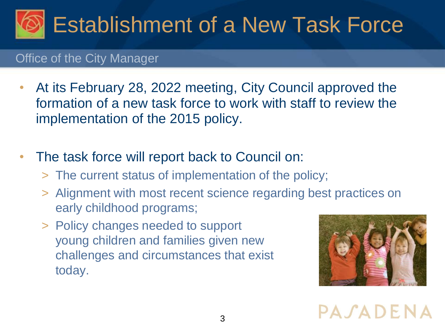

- At its February 28, 2022 meeting, City Council approved the formation of a new task force to work with staff to review the implementation of the 2015 policy.
- The task force will report back to Council on:
	- > The current status of implementation of the policy;
	- > Alignment with most recent science regarding best practices on early childhood programs;
	- > Policy changes needed to support young children and families given new challenges and circumstances that exist today.



PASADENA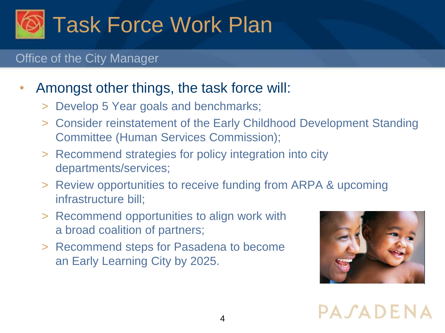

# • Amongst other things, the task force will:

- > Develop 5 Year goals and benchmarks;
- > Consider reinstatement of the Early Childhood Development Standing Committee (Human Services Commission);
- > Recommend strategies for policy integration into city departments/services;
- > Review opportunities to receive funding from ARPA & upcoming infrastructure bill;
- > Recommend opportunities to align work with a broad coalition of partners;
- > Recommend steps for Pasadena to become an Early Learning City by 2025.



PASADENA